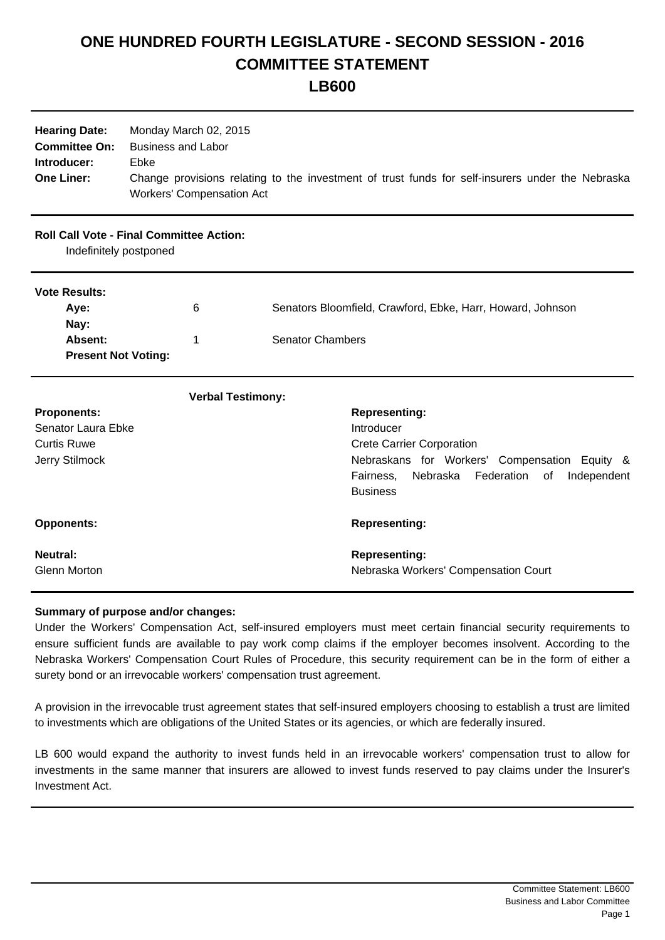## **ONE HUNDRED FOURTH LEGISLATURE - SECOND SESSION - 2016 COMMITTEE STATEMENT**

**LB600**

| <b>Hearing Date:</b><br><b>Committee On:</b><br>Introducer:<br><b>One Liner:</b> | Monday March 02, 2015<br><b>Business and Labor</b><br>Ebke<br><b>Workers' Compensation Act</b> | Change provisions relating to the investment of trust funds for self-insurers under the Nebraska                                |
|----------------------------------------------------------------------------------|------------------------------------------------------------------------------------------------|---------------------------------------------------------------------------------------------------------------------------------|
| <b>Roll Call Vote - Final Committee Action:</b><br>Indefinitely postponed        |                                                                                                |                                                                                                                                 |
| <b>Vote Results:</b><br>Aye:                                                     | 6                                                                                              | Senators Bloomfield, Crawford, Ebke, Harr, Howard, Johnson                                                                      |
| Nay:<br>Absent:<br><b>Present Not Voting:</b>                                    | 1                                                                                              | <b>Senator Chambers</b>                                                                                                         |
|                                                                                  | <b>Verbal Testimony:</b>                                                                       |                                                                                                                                 |
| <b>Proponents:</b>                                                               |                                                                                                | <b>Representing:</b>                                                                                                            |
| Senator Laura Ebke                                                               |                                                                                                | Introducer                                                                                                                      |
| <b>Curtis Ruwe</b>                                                               |                                                                                                | <b>Crete Carrier Corporation</b>                                                                                                |
| Jerry Stilmock                                                                   |                                                                                                | Nebraskans for Workers'<br>Compensation Equity &<br>Federation<br>Fairness,<br>Nebraska<br>of<br>Independent<br><b>Business</b> |
| <b>Opponents:</b>                                                                |                                                                                                | <b>Representing:</b>                                                                                                            |
| <b>Neutral:</b><br><b>Glenn Morton</b>                                           |                                                                                                | <b>Representing:</b><br>Nebraska Workers' Compensation Court                                                                    |

## **Summary of purpose and/or changes:**

Under the Workers' Compensation Act, self-insured employers must meet certain financial security requirements to ensure sufficient funds are available to pay work comp claims if the employer becomes insolvent. According to the Nebraska Workers' Compensation Court Rules of Procedure, this security requirement can be in the form of either a surety bond or an irrevocable workers' compensation trust agreement.

A provision in the irrevocable trust agreement states that self-insured employers choosing to establish a trust are limited to investments which are obligations of the United States or its agencies, or which are federally insured.

LB 600 would expand the authority to invest funds held in an irrevocable workers' compensation trust to allow for investments in the same manner that insurers are allowed to invest funds reserved to pay claims under the Insurer's Investment Act.